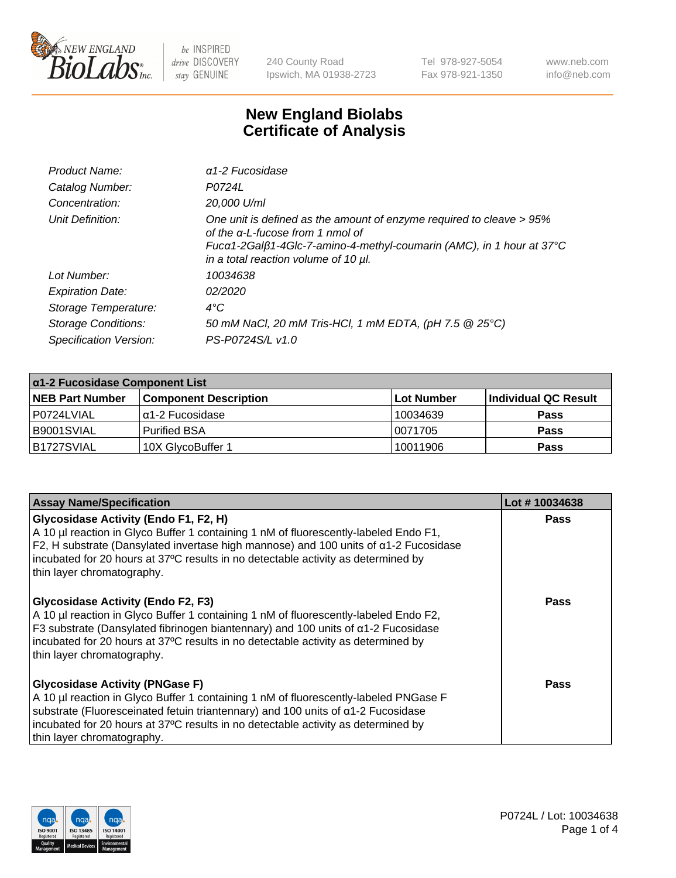

240 County Road Ipswich, MA 01938-2723 Tel 978-927-5054 Fax 978-921-1350 www.neb.com info@neb.com

## **New England Biolabs Certificate of Analysis**

| Product Name:              | $\alpha$ 1-2 Fucosidase                                                                                                                                                                                                          |
|----------------------------|----------------------------------------------------------------------------------------------------------------------------------------------------------------------------------------------------------------------------------|
| Catalog Number:            | P0724L                                                                                                                                                                                                                           |
| Concentration:             | 20,000 U/ml                                                                                                                                                                                                                      |
| Unit Definition:           | One unit is defined as the amount of enzyme required to cleave > 95%<br>of the $\alpha$ -L-fucose from 1 nmol of<br>Fucα1-2Galβ1-4Glc-7-amino-4-methyl-coumarin (AMC), in 1 hour at 37°C<br>in a total reaction volume of 10 µl. |
| Lot Number:                | 10034638                                                                                                                                                                                                                         |
| <b>Expiration Date:</b>    | 02/2020                                                                                                                                                                                                                          |
| Storage Temperature:       | $4^{\circ}$ C                                                                                                                                                                                                                    |
| <b>Storage Conditions:</b> | 50 mM NaCl, 20 mM Tris-HCl, 1 mM EDTA, (pH 7.5 @ 25°C)                                                                                                                                                                           |
| Specification Version:     | PS-P0724S/L v1.0                                                                                                                                                                                                                 |

| $\alpha$ 1-2 Fucosidase Component List |                              |                   |                      |  |
|----------------------------------------|------------------------------|-------------------|----------------------|--|
| <b>NEB Part Number</b>                 | <b>Component Description</b> | <b>Lot Number</b> | Individual QC Result |  |
| P0724LVIAL                             | 'α1-2 Fucosidase             | 10034639          | <b>Pass</b>          |  |
| IB9001SVIAL                            | l Purified BSA               | 10071705          | <b>Pass</b>          |  |
| B1727SVIAL                             | 10X GlycoBuffer 1            | 10011906          | <b>Pass</b>          |  |

| <b>Assay Name/Specification</b>                                                                                                                                                                                                                                                                                                               | Lot #10034638 |
|-----------------------------------------------------------------------------------------------------------------------------------------------------------------------------------------------------------------------------------------------------------------------------------------------------------------------------------------------|---------------|
| Glycosidase Activity (Endo F1, F2, H)<br>A 10 µl reaction in Glyco Buffer 1 containing 1 nM of fluorescently-labeled Endo F1,<br>F2, H substrate (Dansylated invertase high mannose) and 100 units of a1-2 Fucosidase<br>incubated for 20 hours at 37°C results in no detectable activity as determined by<br>thin layer chromatography.      | <b>Pass</b>   |
| <b>Glycosidase Activity (Endo F2, F3)</b><br>A 10 µl reaction in Glyco Buffer 1 containing 1 nM of fluorescently-labeled Endo F2,<br>F3 substrate (Dansylated fibrinogen biantennary) and 100 units of a1-2 Fucosidase<br>incubated for 20 hours at 37°C results in no detectable activity as determined by<br>thin layer chromatography.     | Pass          |
| <b>Glycosidase Activity (PNGase F)</b><br>A 10 µl reaction in Glyco Buffer 1 containing 1 nM of fluorescently-labeled PNGase F<br>substrate (Fluoresceinated fetuin triantennary) and 100 units of $\alpha$ 1-2 Fucosidase<br>incubated for 20 hours at 37°C results in no detectable activity as determined by<br>thin layer chromatography. | Pass          |

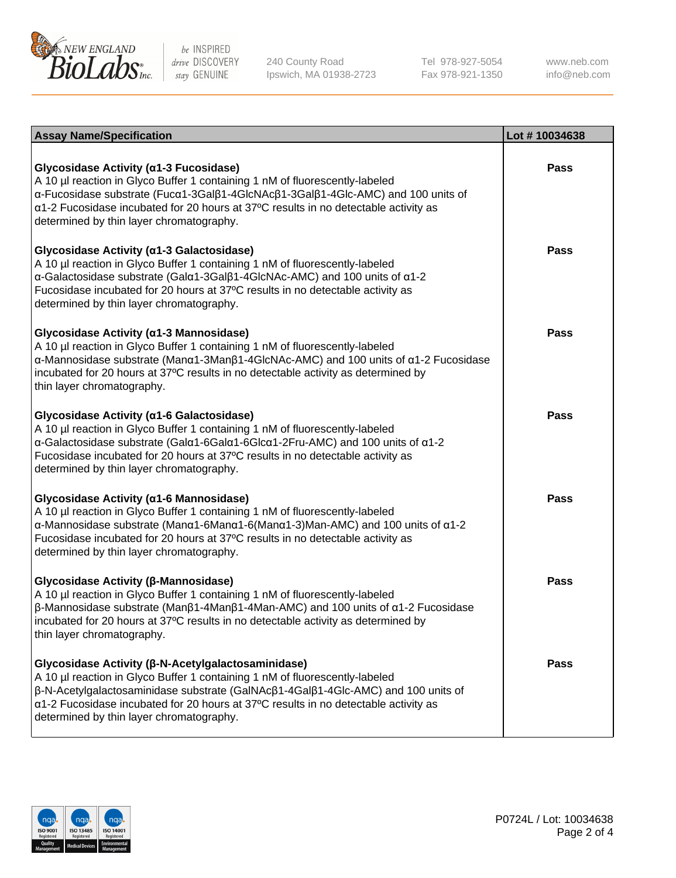

240 County Road Ipswich, MA 01938-2723 Tel 978-927-5054 Fax 978-921-1350

www.neb.com info@neb.com

| <b>Assay Name/Specification</b>                                                                                                                                                                                                                                                                                                                                                          | Lot #10034638 |
|------------------------------------------------------------------------------------------------------------------------------------------------------------------------------------------------------------------------------------------------------------------------------------------------------------------------------------------------------------------------------------------|---------------|
| Glycosidase Activity (α1-3 Fucosidase)<br>A 10 µl reaction in Glyco Buffer 1 containing 1 nM of fluorescently-labeled<br>α-Fucosidase substrate (Fucα1-3Galβ1-4GlcNAcβ1-3Galβ1-4Glc-AMC) and 100 units of<br>$\alpha$ 1-2 Fucosidase incubated for 20 hours at 37°C results in no detectable activity as<br>determined by thin layer chromatography.                                     | Pass          |
| Glycosidase Activity (α1-3 Galactosidase)<br>A 10 µl reaction in Glyco Buffer 1 containing 1 nM of fluorescently-labeled<br>α-Galactosidase substrate (Galα1-3Galβ1-4GlcNAc-AMC) and 100 units of α1-2<br>Fucosidase incubated for 20 hours at 37°C results in no detectable activity as<br>determined by thin layer chromatography.                                                     | <b>Pass</b>   |
| Glycosidase Activity (α1-3 Mannosidase)<br>A 10 µl reaction in Glyco Buffer 1 containing 1 nM of fluorescently-labeled<br>α-Mannosidase substrate (Μanα1-3Μanβ1-4GlcNAc-AMC) and 100 units of α1-2 Fucosidase<br>incubated for 20 hours at 37°C results in no detectable activity as determined by<br>thin layer chromatography.                                                         | Pass          |
| Glycosidase Activity (α1-6 Galactosidase)<br>A 10 µl reaction in Glyco Buffer 1 containing 1 nM of fluorescently-labeled<br>α-Galactosidase substrate (Galα1-6Galα1-6Glcα1-2Fru-AMC) and 100 units of α1-2<br>Fucosidase incubated for 20 hours at 37°C results in no detectable activity as<br>determined by thin layer chromatography.                                                 | Pass          |
| Glycosidase Activity (α1-6 Mannosidase)<br>A 10 µl reaction in Glyco Buffer 1 containing 1 nM of fluorescently-labeled<br>$\alpha$ -Mannosidase substrate (Man $\alpha$ 1-6Man $\alpha$ 1-6(Man $\alpha$ 1-3)Man-AMC) and 100 units of $\alpha$ 1-2<br>Fucosidase incubated for 20 hours at 37°C results in no detectable activity as<br>determined by thin layer chromatography.        | <b>Pass</b>   |
| Glycosidase Activity (β-Mannosidase)<br>A 10 µl reaction in Glyco Buffer 1 containing 1 nM of fluorescently-labeled<br>$\beta$ -Mannosidase substrate (Μanβ1-4Manβ1-4Man-AMC) and 100 units of α1-2 Fucosidase<br>incubated for 20 hours at 37°C results in no detectable activity as determined by<br>thin layer chromatography.                                                        | Pass          |
| Glycosidase Activity (β-N-Acetylgalactosaminidase)<br>A 10 µl reaction in Glyco Buffer 1 containing 1 nM of fluorescently-labeled<br>$\beta$ -N-Acetylgalactosaminidase substrate (GalNAc $\beta$ 1-4Gal $\beta$ 1-4Glc-AMC) and 100 units of<br>$\alpha$ 1-2 Fucosidase incubated for 20 hours at 37°C results in no detectable activity as<br>determined by thin layer chromatography. | Pass          |

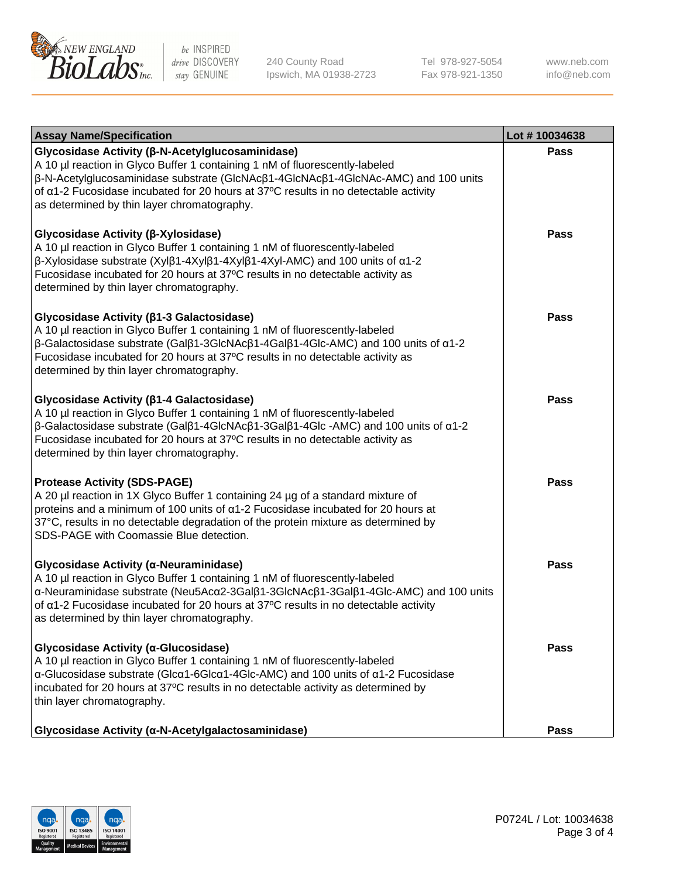

240 County Road Ipswich, MA 01938-2723 Tel 978-927-5054 Fax 978-921-1350

www.neb.com info@neb.com

| <b>Assay Name/Specification</b>                                                                                                                                                                                                                                                                                                                                                    | Lot #10034638 |
|------------------------------------------------------------------------------------------------------------------------------------------------------------------------------------------------------------------------------------------------------------------------------------------------------------------------------------------------------------------------------------|---------------|
| Glycosidase Activity (β-N-Acetylglucosaminidase)<br>A 10 µl reaction in Glyco Buffer 1 containing 1 nM of fluorescently-labeled<br>β-N-Acetylglucosaminidase substrate (GlcNAcβ1-4GlcNAcβ1-4GlcNAc-AMC) and 100 units<br>of a1-2 Fucosidase incubated for 20 hours at 37°C results in no detectable activity<br>as determined by thin layer chromatography.                        | Pass          |
| Glycosidase Activity (β-Xylosidase)<br>A 10 µl reaction in Glyco Buffer 1 containing 1 nM of fluorescently-labeled<br>β-Xylosidase substrate (Xylβ1-4Xylβ1-4Xylβ1-4Xyl-AMC) and 100 units of α1-2<br>Fucosidase incubated for 20 hours at 37°C results in no detectable activity as<br>determined by thin layer chromatography.                                                    | <b>Pass</b>   |
| Glycosidase Activity (β1-3 Galactosidase)<br>A 10 µl reaction in Glyco Buffer 1 containing 1 nM of fluorescently-labeled<br>$\beta$ -Galactosidase substrate (Gal $\beta$ 1-3GlcNAc $\beta$ 1-4Gal $\beta$ 1-4Glc-AMC) and 100 units of $\alpha$ 1-2<br>Fucosidase incubated for 20 hours at 37°C results in no detectable activity as<br>determined by thin layer chromatography. | <b>Pass</b>   |
| Glycosidase Activity (β1-4 Galactosidase)<br>A 10 µl reaction in Glyco Buffer 1 containing 1 nM of fluorescently-labeled<br>$\beta$ -Galactosidase substrate (Galβ1-4GlcNAcβ1-3Galβ1-4Glc -AMC) and 100 units of α1-2<br>Fucosidase incubated for 20 hours at 37°C results in no detectable activity as<br>determined by thin layer chromatography.                                | Pass          |
| <b>Protease Activity (SDS-PAGE)</b><br>A 20 µl reaction in 1X Glyco Buffer 1 containing 24 µg of a standard mixture of<br>proteins and a minimum of 100 units of $\alpha$ 1-2 Fucosidase incubated for 20 hours at<br>37°C, results in no detectable degradation of the protein mixture as determined by<br>SDS-PAGE with Coomassie Blue detection.                                | <b>Pass</b>   |
| Glycosidase Activity (α-Neuraminidase)<br>A 10 µl reaction in Glyco Buffer 1 containing 1 nM of fluorescently-labeled<br>α-Neuraminidase substrate (Neu5Acα2-3Galβ1-3GlcNAcβ1-3Galβ1-4Glc-AMC) and 100 units<br>of a1-2 Fucosidase incubated for 20 hours at 37°C results in no detectable activity<br>as determined by thin layer chromatography.                                 | <b>Pass</b>   |
| Glycosidase Activity (α-Glucosidase)<br>A 10 µl reaction in Glyco Buffer 1 containing 1 nM of fluorescently-labeled<br>$\alpha$ -Glucosidase substrate (Glc $\alpha$ 1-6Glc $\alpha$ 1-4Glc-AMC) and 100 units of $\alpha$ 1-2 Fucosidase<br>incubated for 20 hours at 37°C results in no detectable activity as determined by<br>thin layer chromatography.                       | Pass          |
| Glycosidase Activity (α-N-Acetylgalactosaminidase)                                                                                                                                                                                                                                                                                                                                 | Pass          |